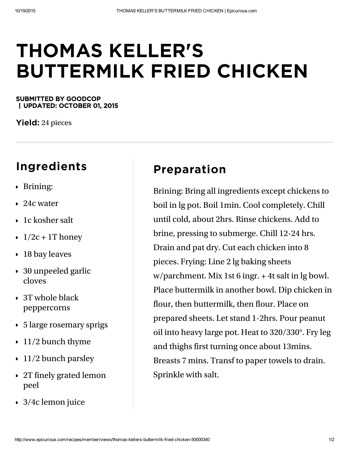## THOMAS KELLER'S BUTTERMILK FRIED CHICKEN

## SUBMITTED BY GOODCOP | UPDATED: OCTOBER 01, 2015

**Yield:** 24 pieces

## Ingredients

- Brining:
- 24c water
- **1** 1c kosher salt
- $\cdot$  1/2c + 1T honey
- 18 bay leaves
- 30 unpeeled garlic cloves
- 3T whole black peppercorns
- 5 large rosemary sprigs
- 11/2 bunch thyme
- 11/2 bunch parsley
- 2T finely grated lemon peel
- 3/4c lemon juice

## Preparation

Brining: Bring all ingredients except chickens to boil in lg pot. Boil 1min. Cool completely. Chill until cold, about 2hrs. Rinse chickens. Add to brine, pressing to submerge. Chill 12-24 hrs. Drain and pat dry. Cut each chicken into 8 pieces. Frying: Line 2 lg baking sheets w/parchment. Mix 1st 6 ingr. + 4t salt in lg bowl. Place buttermilk in another bowl. Dip chicken in flour, then buttermilk, then flour. Place on prepared sheets. Let stand 1-2hrs. Pour peanut oil into heavy large pot. Heat to 320/330°. Fry leg and thighs first turning once about 13mins. Breasts 7 mins. Transf to paper towels to drain. Sprinkle with salt.